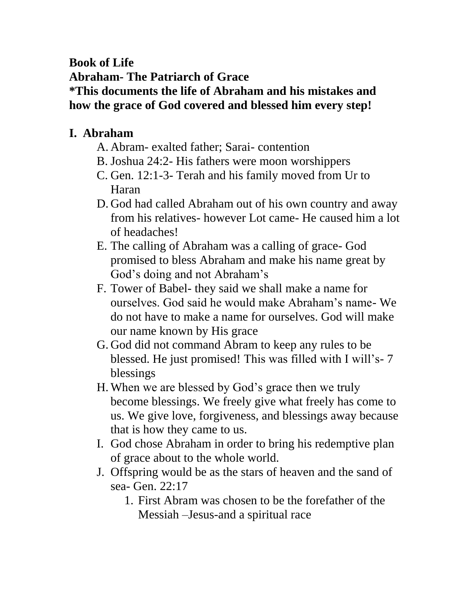## **Book of Life Abraham- The Patriarch of Grace \*This documents the life of Abraham and his mistakes and how the grace of God covered and blessed him every step!**

## **I. Abraham**

- A. Abram- exalted father; Sarai- contention
- B. Joshua 24:2- His fathers were moon worshippers
- C. Gen. 12:1-3- Terah and his family moved from Ur to Haran
- D. God had called Abraham out of his own country and away from his relatives- however Lot came- He caused him a lot of headaches!
- E. The calling of Abraham was a calling of grace- God promised to bless Abraham and make his name great by God's doing and not Abraham's
- F. Tower of Babel- they said we shall make a name for ourselves. God said he would make Abraham's name- We do not have to make a name for ourselves. God will make our name known by His grace
- G. God did not command Abram to keep any rules to be blessed. He just promised! This was filled with I will's- 7 blessings
- H.When we are blessed by God's grace then we truly become blessings. We freely give what freely has come to us. We give love, forgiveness, and blessings away because that is how they came to us.
- I. God chose Abraham in order to bring his redemptive plan of grace about to the whole world.
- J. Offspring would be as the stars of heaven and the sand of sea- Gen. 22:17
	- 1. First Abram was chosen to be the forefather of the Messiah –Jesus-and a spiritual race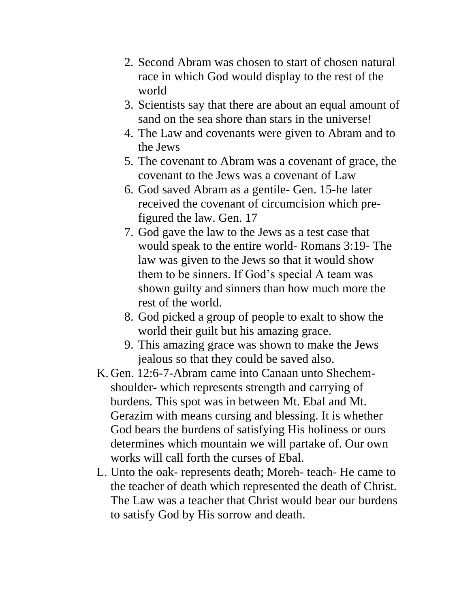- 2. Second Abram was chosen to start of chosen natural race in which God would display to the rest of the world
- 3. Scientists say that there are about an equal amount of sand on the sea shore than stars in the universe!
- 4. The Law and covenants were given to Abram and to the Jews
- 5. The covenant to Abram was a covenant of grace, the covenant to the Jews was a covenant of Law
- 6. God saved Abram as a gentile- Gen. 15-he later received the covenant of circumcision which prefigured the law. Gen. 17
- 7. God gave the law to the Jews as a test case that would speak to the entire world- Romans 3:19- The law was given to the Jews so that it would show them to be sinners. If God's special A team was shown guilty and sinners than how much more the rest of the world.
- 8. God picked a group of people to exalt to show the world their guilt but his amazing grace.
- 9. This amazing grace was shown to make the Jews jealous so that they could be saved also.
- K. Gen. 12:6-7-Abram came into Canaan unto Shechemshoulder- which represents strength and carrying of burdens. This spot was in between Mt. Ebal and Mt. Gerazim with means cursing and blessing. It is whether God bears the burdens of satisfying His holiness or ours determines which mountain we will partake of. Our own works will call forth the curses of Ebal.
- L. Unto the oak- represents death; Moreh- teach- He came to the teacher of death which represented the death of Christ. The Law was a teacher that Christ would bear our burdens to satisfy God by His sorrow and death.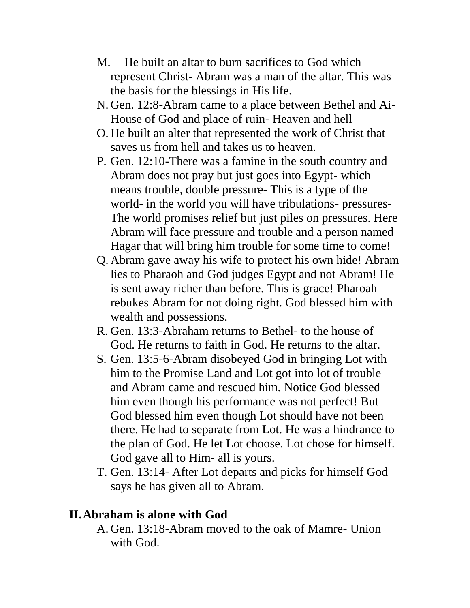- M. He built an altar to burn sacrifices to God which represent Christ- Abram was a man of the altar. This was the basis for the blessings in His life.
- N. Gen. 12:8-Abram came to a place between Bethel and Ai-House of God and place of ruin- Heaven and hell
- O. He built an alter that represented the work of Christ that saves us from hell and takes us to heaven.
- P. Gen. 12:10-There was a famine in the south country and Abram does not pray but just goes into Egypt- which means trouble, double pressure- This is a type of the world- in the world you will have tribulations- pressures-The world promises relief but just piles on pressures. Here Abram will face pressure and trouble and a person named Hagar that will bring him trouble for some time to come!
- Q. Abram gave away his wife to protect his own hide! Abram lies to Pharaoh and God judges Egypt and not Abram! He is sent away richer than before. This is grace! Pharoah rebukes Abram for not doing right. God blessed him with wealth and possessions.
- R. Gen. 13:3-Abraham returns to Bethel- to the house of God. He returns to faith in God. He returns to the altar.
- S. Gen. 13:5-6-Abram disobeyed God in bringing Lot with him to the Promise Land and Lot got into lot of trouble and Abram came and rescued him. Notice God blessed him even though his performance was not perfect! But God blessed him even though Lot should have not been there. He had to separate from Lot. He was a hindrance to the plan of God. He let Lot choose. Lot chose for himself. God gave all to Him- all is yours.
- T. Gen. 13:14- After Lot departs and picks for himself God says he has given all to Abram.

## **II.Abraham is alone with God**

A. Gen. 13:18-Abram moved to the oak of Mamre- Union with God.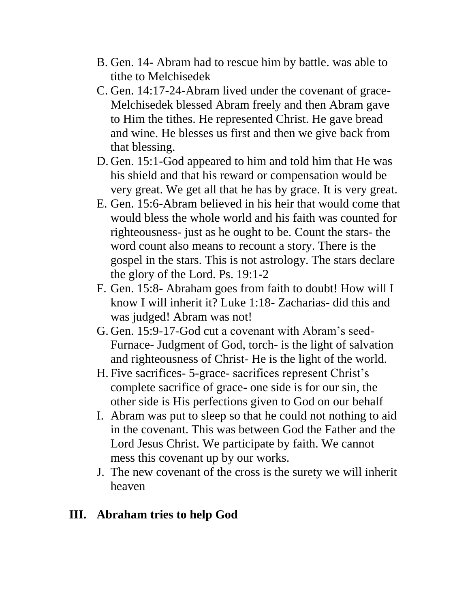- B. Gen. 14- Abram had to rescue him by battle. was able to tithe to Melchisedek
- C. Gen. 14:17-24-Abram lived under the covenant of grace-Melchisedek blessed Abram freely and then Abram gave to Him the tithes. He represented Christ. He gave bread and wine. He blesses us first and then we give back from that blessing.
- D. Gen. 15:1-God appeared to him and told him that He was his shield and that his reward or compensation would be very great. We get all that he has by grace. It is very great.
- E. Gen. 15:6-Abram believed in his heir that would come that would bless the whole world and his faith was counted for righteousness- just as he ought to be. Count the stars- the word count also means to recount a story. There is the gospel in the stars. This is not astrology. The stars declare the glory of the Lord. Ps. 19:1-2
- F. Gen. 15:8- Abraham goes from faith to doubt! How will I know I will inherit it? Luke 1:18- Zacharias- did this and was judged! Abram was not!
- G. Gen. 15:9-17-God cut a covenant with Abram's seed-Furnace- Judgment of God, torch- is the light of salvation and righteousness of Christ- He is the light of the world.
- H. Five sacrifices- 5-grace- sacrifices represent Christ's complete sacrifice of grace- one side is for our sin, the other side is His perfections given to God on our behalf
- I. Abram was put to sleep so that he could not nothing to aid in the covenant. This was between God the Father and the Lord Jesus Christ. We participate by faith. We cannot mess this covenant up by our works.
- J. The new covenant of the cross is the surety we will inherit heaven

## **III. Abraham tries to help God**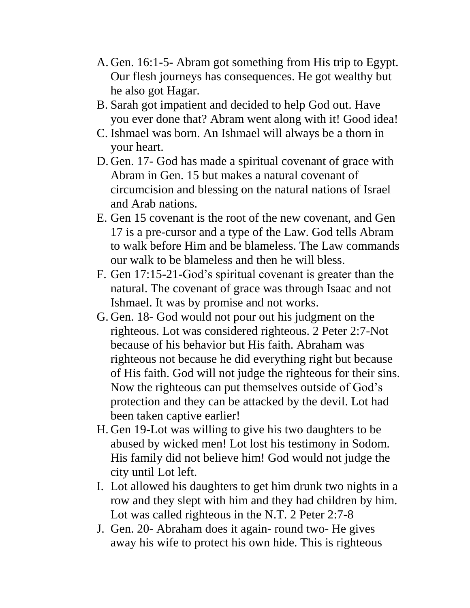- A. Gen. 16:1-5- Abram got something from His trip to Egypt. Our flesh journeys has consequences. He got wealthy but he also got Hagar.
- B. Sarah got impatient and decided to help God out. Have you ever done that? Abram went along with it! Good idea!
- C. Ishmael was born. An Ishmael will always be a thorn in your heart.
- D. Gen. 17- God has made a spiritual covenant of grace with Abram in Gen. 15 but makes a natural covenant of circumcision and blessing on the natural nations of Israel and Arab nations.
- E. Gen 15 covenant is the root of the new covenant, and Gen 17 is a pre-cursor and a type of the Law. God tells Abram to walk before Him and be blameless. The Law commands our walk to be blameless and then he will bless.
- F. Gen 17:15-21-God's spiritual covenant is greater than the natural. The covenant of grace was through Isaac and not Ishmael. It was by promise and not works.
- G. Gen. 18- God would not pour out his judgment on the righteous. Lot was considered righteous. 2 Peter 2:7-Not because of his behavior but His faith. Abraham was righteous not because he did everything right but because of His faith. God will not judge the righteous for their sins. Now the righteous can put themselves outside of God's protection and they can be attacked by the devil. Lot had been taken captive earlier!
- H. Gen 19-Lot was willing to give his two daughters to be abused by wicked men! Lot lost his testimony in Sodom. His family did not believe him! God would not judge the city until Lot left.
- I. Lot allowed his daughters to get him drunk two nights in a row and they slept with him and they had children by him. Lot was called righteous in the N.T. 2 Peter 2:7-8
- J. Gen. 20- Abraham does it again- round two- He gives away his wife to protect his own hide. This is righteous